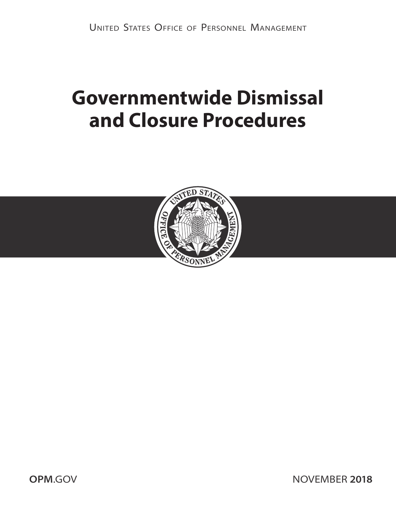# **Governmentwide Dismissal and Closure Procedures**



**OPM[.GOV](http://OPM.GOV) NOVEMBER 2018**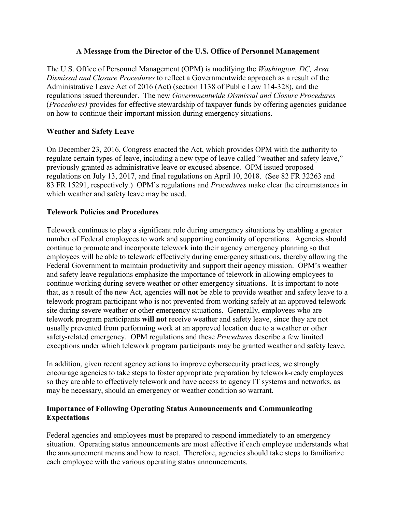#### **A Message from the Director of the U.S. Office of Personnel Management**

The U.S. Office of Personnel Management (OPM) is modifying the *Washington, DC, Area Dismissal and Closure Procedures* to reflect a Governmentwide approach as a result of the Administrative Leave Act of 2016 (Act) (section 1138 of Public Law 114-328), and the regulations issued thereunder. The new *Governmentwide Dismissal and Closure Procedures* (*Procedures)* provides for effective stewardship of taxpayer funds by offering agencies guidance on how to continue their important mission during emergency situations.

#### **Weather and Safety Leave**

On December 23, 2016, Congress enacted the Act, which provides OPM with the authority to regulate certain types of leave, including a new type of leave called "weather and safety leave," previously granted as administrative leave or excused absence. OPM issued proposed regulations on July 13, 2017, and final regulations on April 10, 2018. (See 82 FR 32263 and 83 FR 15291, respectively.) OPM's regulations and *Procedures* make clear the circumstances in which weather and safety leave may be used.

#### **Telework Policies and Procedures**

Telework continues to play a significant role during emergency situations by enabling a greater number of Federal employees to work and supporting continuity of operations. Agencies should continue to promote and incorporate telework into their agency emergency planning so that employees will be able to telework effectively during emergency situations, thereby allowing the Federal Government to maintain productivity and support their agency mission. OPM's weather and safety leave regulations emphasize the importance of telework in allowing employees to continue working during severe weather or other emergency situations. It is important to note that, as a result of the new Act, agencies **will not** be able to provide weather and safety leave to a telework program participant who is not prevented from working safely at an approved telework site during severe weather or other emergency situations. Generally, employees who are telework program participants **will not** receive weather and safety leave, since they are not usually prevented from performing work at an approved location due to a weather or other safety-related emergency. OPM regulations and these *Procedures* describe a few limited exceptions under which telework program participants may be granted weather and safety leave.

In addition, given recent agency actions to improve cybersecurity practices, we strongly encourage agencies to take steps to foster appropriate preparation by telework-ready employees so they are able to effectively telework and have access to agency IT systems and networks, as may be necessary, should an emergency or weather condition so warrant.

#### **Importance of Following Operating Status Announcements and Communicating Expectations**

Federal agencies and employees must be prepared to respond immediately to an emergency situation. Operating status announcements are most effective if each employee understands what the announcement means and how to react. Therefore, agencies should take steps to familiarize each employee with the various operating status announcements.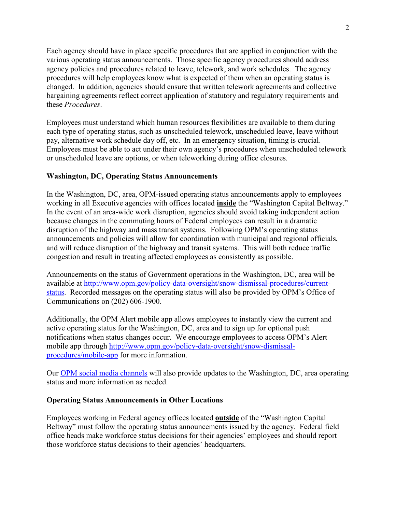Each agency should have in place specific procedures that are applied in conjunction with the various operating status announcements. Those specific agency procedures should address agency policies and procedures related to leave, telework, and work schedules. The agency procedures will help employees know what is expected of them when an operating status is changed. In addition, agencies should ensure that written telework agreements and collective bargaining agreements reflect correct application of statutory and regulatory requirements and these *Procedures*.

Employees must understand which human resources flexibilities are available to them during each type of operating status, such as unscheduled telework, unscheduled leave, leave without pay, alternative work schedule day off, etc. In an emergency situation, timing is crucial. Employees must be able to act under their own agency's procedures when unscheduled telework or unscheduled leave are options, or when teleworking during office closures.

#### **Washington, DC, Operating Status Announcements**

In the Washington, DC, area, OPM-issued operating status announcements apply to employees working in all Executive agencies with offices located **inside** the "Washington Capital Beltway." In the event of an area-wide work disruption, agencies should avoid taking independent action because changes in the commuting hours of Federal employees can result in a dramatic disruption of the highway and mass transit systems. Following OPM's operating status announcements and policies will allow for coordination with municipal and regional officials, and will reduce disruption of the highway and transit systems. This will both reduce traffic congestion and result in treating affected employees as consistently as possible.

Announcements on the status of Government operations in the Washington, DC, area will be available at [http://www.opm.gov/policy-data-oversight/snow-dismissal-procedures/current](http://www.opm.gov/policy-data-oversight/snow-dismissal-procedures/current-status)[status.](http://www.opm.gov/policy-data-oversight/snow-dismissal-procedures/current-status) Recorded messages on the operating status will also be provided by OPM's Office of Communications on (202) 606-1900.

Additionally, the OPM Alert mobile app allows employees to instantly view the current and active operating status for the Washington, DC, area and to sign up for optional push notifications when status changes occur. We encourage employees to access OPM's Alert mobile app through [http://www.opm.gov/policy-data-oversight/snow-dismissal](http://www.opm.gov/policy-data-oversight/snow-dismissal-procedures/mobile-app)[procedures/mobile-app](http://www.opm.gov/policy-data-oversight/snow-dismissal-procedures/mobile-app) for more information.

Our [OPM social media channels](https://www.opm.gov/news/social-media-presence/) will also provide updates to the Washington, DC, area operating status and more information as needed.

#### **Operating Status Announcements in Other Locations**

Employees working in Federal agency offices located **outside** of the "Washington Capital Beltway" must follow the operating status announcements issued by the agency. Federal field office heads make workforce status decisions for their agencies' employees and should report those workforce status decisions to their agencies' headquarters.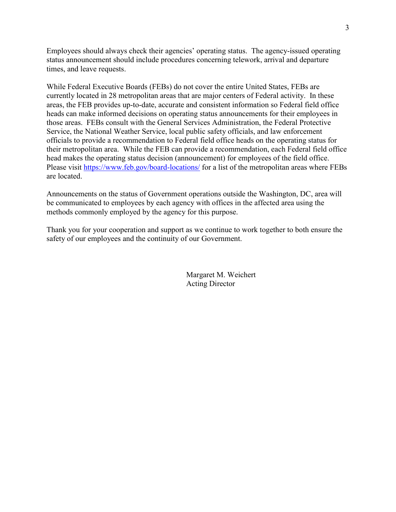Employees should always check their agencies' operating status. The agency-issued operating status announcement should include procedures concerning telework, arrival and departure times, and leave requests.

While Federal Executive Boards (FEBs) do not cover the entire United States, FEBs are currently located in 28 metropolitan areas that are major centers of Federal activity. In these areas, the FEB provides up-to-date, accurate and consistent information so Federal field office heads can make informed decisions on operating status announcements for their employees in those areas. FEBs consult with the General Services Administration, the Federal Protective Service, the National Weather Service, local public safety officials, and law enforcement officials to provide a recommendation to Federal field office heads on the operating status for their metropolitan area. While the FEB can provide a recommendation, each Federal field office head makes the operating status decision (announcement) for employees of the field office. Please visit<https://www.feb.gov/board-locations/>for a list of the metropolitan areas where FEBs are located.

Announcements on the status of Government operations outside the Washington, DC, area will be communicated to employees by each agency with offices in the affected area using the methods commonly employed by the agency for this purpose.

Thank you for your cooperation and support as we continue to work together to both ensure the safety of our employees and the continuity of our Government.

> Margaret M. Weichert Acting Director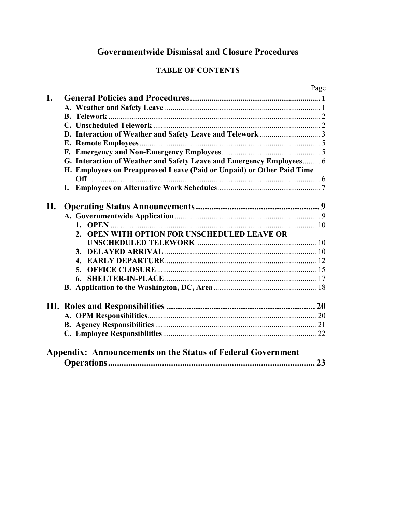# **Governmentwide Dismissal and Closure Procedures**

# **TABLE OF CONTENTS**

|     |                                                                       | Page |
|-----|-----------------------------------------------------------------------|------|
| I.  |                                                                       |      |
|     |                                                                       |      |
|     |                                                                       |      |
|     |                                                                       |      |
|     |                                                                       |      |
|     |                                                                       |      |
|     |                                                                       |      |
|     | G. Interaction of Weather and Safety Leave and Emergency Employees 6  |      |
|     | H. Employees on Preapproved Leave (Paid or Unpaid) or Other Paid Time |      |
|     |                                                                       |      |
|     |                                                                       |      |
|     |                                                                       |      |
| II. |                                                                       |      |
|     |                                                                       |      |
|     |                                                                       |      |
|     | OPEN WITH OPTION FOR UNSCHEDULED LEAVE OR<br>2.                       |      |
|     |                                                                       |      |
|     | 3.                                                                    |      |
|     | $\boldsymbol{\Lambda}$                                                |      |
|     | 5.                                                                    |      |
|     |                                                                       |      |
|     |                                                                       |      |
|     |                                                                       |      |
|     |                                                                       |      |
|     |                                                                       |      |
|     |                                                                       |      |
|     |                                                                       |      |
|     |                                                                       |      |
|     | <b>Appendix: Announcements on the Status of Federal Government</b>    |      |
|     |                                                                       | 23   |
|     |                                                                       |      |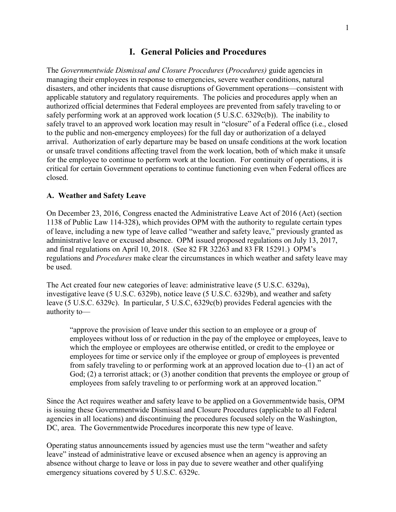#### **I. General Policies and Procedures**

<span id="page-5-0"></span>The *Governmentwide Dismissal and Closure Procedures* (*Procedures)* guide agencies in managing their employees in response to emergencies, severe weather conditions, natural disasters, and other incidents that cause disruptions of Government operations—consistent with applicable statutory and regulatory requirements. The policies and procedures apply when an authorized official determines that Federal employees are prevented from safely traveling to or safely performing work at an approved work location (5 U.S.C. 6329c(b)). The inability to safely travel to an approved work location may result in "closure" of a Federal office (i.e., closed to the public and non-emergency employees) for the full day or authorization of a delayed arrival. Authorization of early departure may be based on unsafe conditions at the work location or unsafe travel conditions affecting travel from the work location, both of which make it unsafe for the employee to continue to perform work at the location. For continuity of operations, it is critical for certain Government operations to continue functioning even when Federal offices are closed.

#### <span id="page-5-1"></span>**A. Weather and Safety Leave**

On December 23, 2016, Congress enacted the Administrative Leave Act of 2016 (Act) (section 1138 of Public Law 114-328), which provides OPM with the authority to regulate certain types of leave, including a new type of leave called "weather and safety leave," previously granted as administrative leave or excused absence. OPM issued proposed regulations on July 13, 2017, and final regulations on April 10, 2018. (See 82 FR 32263 and 83 FR 15291.) OPM's regulations and *Procedures* make clear the circumstances in which weather and safety leave may be used.

The Act created four new categories of leave: administrative leave (5 U.S.C. 6329a), investigative leave (5 U.S.C. 6329b), notice leave (5 U.S.C. 6329b), and weather and safety leave (5 U.S.C. 6329c). In particular, 5 U.S.C, 6329c(b) provides Federal agencies with the authority to—

"approve the provision of leave under this section to an employee or a group of employees without loss of or reduction in the pay of the employee or employees, leave to which the employee or employees are otherwise entitled, or credit to the employee or employees for time or service only if the employee or group of employees is prevented from safely traveling to or performing work at an approved location due to–(1) an act of God; (2) a terrorist attack; or (3) another condition that prevents the employee or group of employees from safely traveling to or performing work at an approved location."

Since the Act requires weather and safety leave to be applied on a Governmentwide basis, OPM is issuing these Governmentwide Dismissal and Closure Procedures (applicable to all Federal agencies in all locations) and discontinuing the procedures focused solely on the Washington, DC, area. The Governmentwide Procedures incorporate this new type of leave.

Operating status announcements issued by agencies must use the term "weather and safety leave" instead of administrative leave or excused absence when an agency is approving an absence without charge to leave or loss in pay due to severe weather and other qualifying emergency situations covered by 5 U.S.C. 6329c.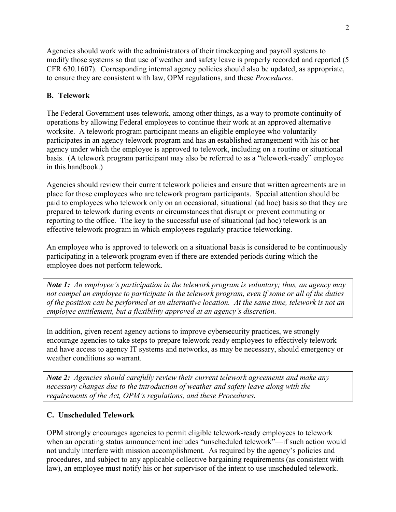Agencies should work with the administrators of their timekeeping and payroll systems to modify those systems so that use of weather and safety leave is properly recorded and reported (5 CFR 630.1607). Corresponding internal agency policies should also be updated, as appropriate, to ensure they are consistent with law, OPM regulations, and these *Procedures*.

## <span id="page-6-0"></span>**B. Telework**

The Federal Government uses telework, among other things, as a way to promote continuity of operations by allowing Federal employees to continue their work at an approved alternative worksite. A telework program participant means an eligible employee who voluntarily participates in an agency telework program and has an established arrangement with his or her agency under which the employee is approved to telework, including on a routine or situational basis. (A telework program participant may also be referred to as a "telework-ready" employee in this handbook.)

Agencies should review their current telework policies and ensure that written agreements are in place for those employees who are telework program participants. Special attention should be paid to employees who telework only on an occasional, situational (ad hoc) basis so that they are prepared to telework during events or circumstances that disrupt or prevent commuting or reporting to the office. The key to the successful use of situational (ad hoc) telework is an effective telework program in which employees regularly practice teleworking.

An employee who is approved to telework on a situational basis is considered to be continuously participating in a telework program even if there are extended periods during which the employee does not perform telework.

*Note 1: An employee's participation in the telework program is voluntary; thus, an agency may not compel an employee to participate in the telework program, even if some or all of the duties of the position can be performed at an alternative location. At the same time, telework is not an employee entitlement, but a flexibility approved at an agency's discretion.*

In addition, given recent agency actions to improve cybersecurity practices, we strongly encourage agencies to take steps to prepare telework-ready employees to effectively telework and have access to agency IT systems and networks, as may be necessary, should emergency or weather conditions so warrant.

*Note 2: Agencies should carefully review their current telework agreements and make any necessary changes due to the introduction of weather and safety leave along with the requirements of the Act, OPM's regulations, and these Procedures.* 

## <span id="page-6-1"></span>**C. Unscheduled Telework**

OPM strongly encourages agencies to permit eligible telework-ready employees to telework when an operating status announcement includes "unscheduled telework"—if such action would not unduly interfere with mission accomplishment. As required by the agency's policies and procedures, and subject to any applicable collective bargaining requirements (as consistent with law), an employee must notify his or her supervisor of the intent to use unscheduled telework.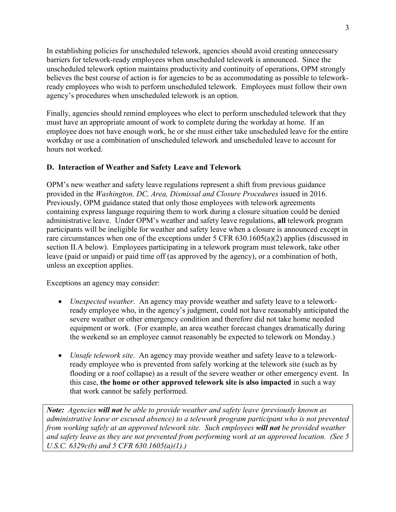In establishing policies for unscheduled telework, agencies should avoid creating unnecessary barriers for telework-ready employees when unscheduled telework is announced. Since the unscheduled telework option maintains productivity and continuity of operations, OPM strongly believes the best course of action is for agencies to be as accommodating as possible to teleworkready employees who wish to perform unscheduled telework. Employees must follow their own agency's procedures when unscheduled telework is an option.

Finally, agencies should remind employees who elect to perform unscheduled telework that they must have an appropriate amount of work to complete during the workday at home. If an employee does not have enough work, he or she must either take unscheduled leave for the entire workday or use a combination of unscheduled telework and unscheduled leave to account for hours not worked.

## <span id="page-7-0"></span>**D. Interaction of Weather and Safety Leave and Telework**

OPM's new weather and safety leave regulations represent a shift from previous guidance provided in the *Washington, DC, Area, Dismissal and Closure Procedures* issued in 2016. Previously, OPM guidance stated that only those employees with telework agreements containing express language requiring them to work during a closure situation could be denied administrative leave. Under OPM's weather and safety leave regulations, **all** telework program participants will be ineligible for weather and safety leave when a closure is announced except in rare circumstances when one of the exceptions under 5 CFR 630.1605(a)(2) applies (discussed in section II.A below). Employees participating in a telework program must telework, take other leave (paid or unpaid) or paid time off (as approved by the agency), or a combination of both, unless an exception applies.

Exceptions an agency may consider:

- *Unexpected weather*. An agency may provide weather and safety leave to a teleworkready employee who, in the agency's judgment, could not have reasonably anticipated the severe weather or other emergency condition and therefore did not take home needed equipment or work. (For example, an area weather forecast changes dramatically during the weekend so an employee cannot reasonably be expected to telework on Monday.)
- *Unsafe telework site*. An agency may provide weather and safety leave to a teleworkready employee who is prevented from safely working at the telework site (such as by flooding or a roof collapse) as a result of the severe weather or other emergency event. In this case, **the home or other approved telework site is also impacted** in such a way that work cannot be safely performed.

*Note: Agencies will not be able to provide weather and safety leave (previously known as administrative leave or excused absence) to a telework program participant who is not prevented from working safely at an approved telework site. Such employees will not be provided weather and safety leave as they are not prevented from performing work at an approved location. (See 5 U.S.C. 6329c(b) and 5 CFR 630.1605(a)(1).)*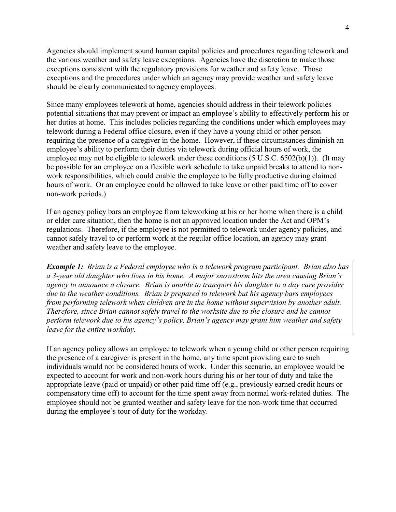Agencies should implement sound human capital policies and procedures regarding telework and the various weather and safety leave exceptions. Agencies have the discretion to make those exceptions consistent with the regulatory provisions for weather and safety leave. Those exceptions and the procedures under which an agency may provide weather and safety leave should be clearly communicated to agency employees.

Since many employees telework at home, agencies should address in their telework policies potential situations that may prevent or impact an employee's ability to effectively perform his or her duties at home. This includes policies regarding the conditions under which employees may telework during a Federal office closure, even if they have a young child or other person requiring the presence of a caregiver in the home. However, if these circumstances diminish an employee's ability to perform their duties via telework during official hours of work, the employee may not be eligible to telework under these conditions  $(5 \text{ U.S.C. } 6502(b)(1))$ . (It may be possible for an employee on a flexible work schedule to take unpaid breaks to attend to nonwork responsibilities, which could enable the employee to be fully productive during claimed hours of work. Or an employee could be allowed to take leave or other paid time off to cover non-work periods.)

If an agency policy bars an employee from teleworking at his or her home when there is a child or elder care situation, then the home is not an approved location under the Act and OPM's regulations. Therefore, if the employee is not permitted to telework under agency policies, and cannot safely travel to or perform work at the regular office location, an agency may grant weather and safety leave to the employee.

*Example 1: Brian is a Federal employee who is a telework program participant. Brian also has a 3-year old daughter who lives in his home. A major snowstorm hits the area causing Brian's agency to announce a closure. Brian is unable to transport his daughter to a day care provider due to the weather conditions. Brian is prepared to telework but his agency bars employees from performing telework when children are in the home without supervision by another adult. Therefore, since Brian cannot safely travel to the worksite due to the closure and he cannot perform telework due to his agency's policy, Brian's agency may grant him weather and safety leave for the entire workday.*

If an agency policy allows an employee to telework when a young child or other person requiring the presence of a caregiver is present in the home, any time spent providing care to such individuals would not be considered hours of work. Under this scenario, an employee would be expected to account for work and non-work hours during his or her tour of duty and take the appropriate leave (paid or unpaid) or other paid time off (e.g., previously earned credit hours or compensatory time off) to account for the time spent away from normal work-related duties. The employee should not be granted weather and safety leave for the non-work time that occurred during the employee's tour of duty for the workday.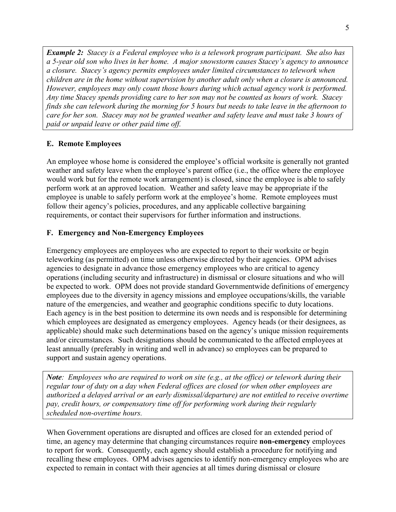*Example 2: Stacey is a Federal employee who is a telework program participant. She also has a 5-year old son who lives in her home. A major snowstorm causes Stacey's agency to announce a closure. Stacey's agency permits employees under limited circumstances to telework when children are in the home without supervision by another adult only when a closure is announced. However, employees may only count those hours during which actual agency work is performed. Any time Stacey spends providing care to her son may not be counted as hours of work. Stacey finds she can telework during the morning for 5 hours but needs to take leave in the afternoon to care for her son. Stacey may not be granted weather and safety leave and must take 3 hours of paid or unpaid leave or other paid time off.* 

#### <span id="page-9-0"></span>**E. Remote Employees**

An employee whose home is considered the employee's official worksite is generally not granted weather and safety leave when the employee's parent office (i.e., the office where the employee would work but for the remote work arrangement) is closed, since the employee is able to safely perform work at an approved location. Weather and safety leave may be appropriate if the employee is unable to safely perform work at the employee's home. Remote employees must follow their agency's policies, procedures, and any applicable collective bargaining requirements, or contact their supervisors for further information and instructions.

#### <span id="page-9-1"></span>**F. Emergency and Non-Emergency Employees**

Emergency employees are employees who are expected to report to their worksite or begin teleworking (as permitted) on time unless otherwise directed by their agencies. OPM advises agencies to designate in advance those emergency employees who are critical to agency operations (including security and infrastructure) in dismissal or closure situations and who will be expected to work. OPM does not provide standard Governmentwide definitions of emergency employees due to the diversity in agency missions and employee occupations/skills, the variable nature of the emergencies, and weather and geographic conditions specific to duty locations. Each agency is in the best position to determine its own needs and is responsible for determining which employees are designated as emergency employees. Agency heads (or their designees, as applicable) should make such determinations based on the agency's unique mission requirements and/or circumstances. Such designations should be communicated to the affected employees at least annually (preferably in writing and well in advance) so employees can be prepared to support and sustain agency operations.

*Note: Employees who are required to work on site (e.g., at the office) or telework during their regular tour of duty on a day when Federal offices are closed (or when other employees are authorized a delayed arrival or an early dismissal/departure) are not entitled to receive overtime pay, credit hours, or compensatory time off for performing work during their regularly scheduled non-overtime hours.*

When Government operations are disrupted and offices are closed for an extended period of time, an agency may determine that changing circumstances require **non-emergency** employees to report for work. Consequently, each agency should establish a procedure for notifying and recalling these employees. OPM advises agencies to identify non-emergency employees who are expected to remain in contact with their agencies at all times during dismissal or closure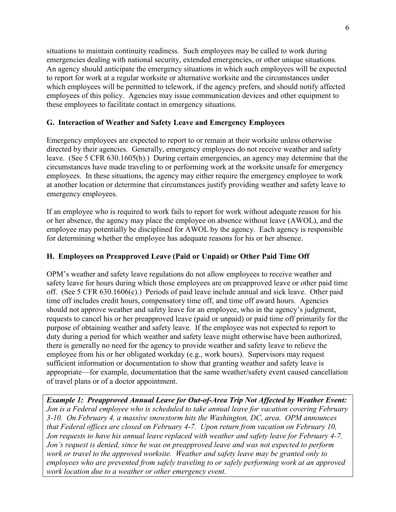situations to maintain continuity readiness. Such employees may be called to work during emergencies dealing with national security, extended emergencies, or other unique situations. An agency should anticipate the emergency situations in which such employees will be expected to report for work at a regular worksite or alternative worksite and the circumstances under which employees will be permitted to telework, if the agency prefers, and should notify affected employees of this policy. Agencies may issue communication devices and other equipment to these employees to facilitate contact in emergency situations.

#### <span id="page-10-0"></span>**G. Interaction of Weather and Safety Leave and Emergency Employees**

Emergency employees are expected to report to or remain at their worksite unless otherwise directed by their agencies. Generally, emergency employees do not receive weather and safety leave. (See 5 CFR 630.1605(b).) During certain emergencies, an agency may determine that the circumstances have made traveling to or performing work at the worksite unsafe for emergency employees. In these situations, the agency may either require the emergency employee to work at another location or determine that circumstances justify providing weather and safety leave to emergency employees.

If an employee who is required to work fails to report for work without adequate reason for his or her absence, the agency may place the employee on absence without leave (AWOL), and the employee may potentially be disciplined for AWOL by the agency. Each agency is responsible for determining whether the employee has adequate reasons for his or her absence.

## <span id="page-10-1"></span>**H. Employees on Preapproved Leave (Paid or Unpaid) or Other Paid Time Off**

OPM's weather and safety leave regulations do not allow employees to receive weather and safety leave for hours during which those employees are on preapproved leave or other paid time off. (See 5 CFR 630.1606(c).) Periods of paid leave include annual and sick leave. Other paid time off includes credit hours, compensatory time off, and time off award hours. Agencies should not approve weather and safety leave for an employee, who in the agency's judgment, requests to cancel his or her preapproved leave (paid or unpaid) or paid time off primarily for the purpose of obtaining weather and safety leave. If the employee was not expected to report to duty during a period for which weather and safety leave might otherwise have been authorized, there is generally no need for the agency to provide weather and safety leave to relieve the employee from his or her obligated workday (e.g., work hours). Supervisors may request sufficient information or documentation to show that granting weather and safety leave is appropriate—for example, documentation that the same weather/safety event caused cancellation of travel plans or of a doctor appointment.

*Example 1: Preapproved Annual Leave for Out-of-Area Trip Not Affected by Weather Event: Jon is a Federal employee who is scheduled to take annual leave for vacation covering February 3-10. On February 4, a massive snowstorm hits the Washington, DC, area. OPM announces that Federal offices are closed on February 4-7. Upon return from vacation on February 10, Jon requests to have his annual leave replaced with weather and safety leave for February 4-7. Jon's request is denied, since he was on preapproved leave and was not expected to perform work or travel to the approved worksite. Weather and safety leave may be granted only to employees who are prevented from safely traveling to or safely performing work at an approved work location due to a weather or other emergency event.*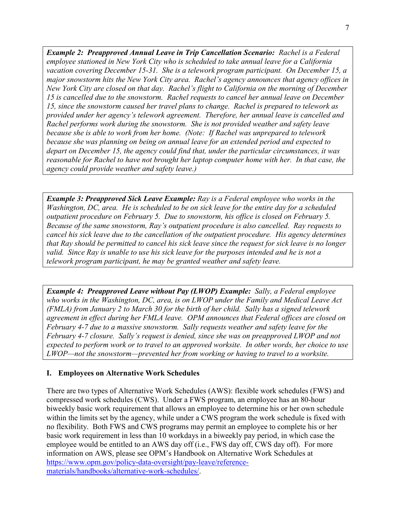*Example 2: Preapproved Annual Leave in Trip Cancellation Scenario: Rachel is a Federal employee stationed in New York City who is scheduled to take annual leave for a California vacation covering December 15-31. She is a telework program participant. On December 15, a major snowstorm hits the New York City area. Rachel's agency announces that agency offices in New York City are closed on that day. Rachel's flight to California on the morning of December 15 is cancelled due to the snowstorm. Rachel requests to cancel her annual leave on December 15, since the snowstorm caused her travel plans to change. Rachel is prepared to telework as provided under her agency's telework agreement. Therefore, her annual leave is cancelled and Rachel performs work during the snowstorm. She is not provided weather and safety leave because she is able to work from her home. (Note: If Rachel was unprepared to telework because she was planning on being on annual leave for an extended period and expected to depart on December 15, the agency could find that, under the particular circumstances, it was reasonable for Rachel to have not brought her laptop computer home with her. In that case, the agency could provide weather and safety leave.)*

*Example 3: Preapproved Sick Leave Example: Ray is a Federal employee who works in the Washington, DC, area. He is scheduled to be on sick leave for the entire day for a scheduled outpatient procedure on February 5. Due to snowstorm, his office is closed on February 5. Because of the same snowstorm, Ray's outpatient procedure is also cancelled. Ray requests to cancel his sick leave due to the cancellation of the outpatient procedure. His agency determines that Ray should be permitted to cancel his sick leave since the request for sick leave is no longer valid. Since Ray is unable to use his sick leave for the purposes intended and he is not a telework program participant, he may be granted weather and safety leave.* 

*Example 4: Preapproved Leave without Pay (LWOP) Example: Sally, a Federal employee who works in the Washington, DC, area, is on LWOP under the Family and Medical Leave Act (FMLA) from January 2 to March 30 for the birth of her child. Sally has a signed telework agreement in effect during her FMLA leave. OPM announces that Federal offices are closed on February 4-7 due to a massive snowstorm. Sally requests weather and safety leave for the February 4-7 closure. Sally's request is denied, since she was on preapproved LWOP and not expected to perform work or to travel to an approved worksite. In other words, her choice to use LWOP—not the snowstorm—prevented her from working or having to travel to a worksite.* 

#### <span id="page-11-0"></span>**I. Employees on Alternative Work Schedules**

There are two types of Alternative Work Schedules (AWS): flexible work schedules (FWS) and compressed work schedules (CWS). Under a FWS program, an employee has an 80-hour biweekly basic work requirement that allows an employee to determine his or her own schedule within the limits set by the agency, while under a CWS program the work schedule is fixed with no flexibility. Both FWS and CWS programs may permit an employee to complete his or her basic work requirement in less than 10 workdays in a biweekly pay period, in which case the employee would be entitled to an AWS day off (i.e., FWS day off, CWS day off). For more information on AWS, please see OPM's Handbook on Alternative Work Schedules at [https://www.opm.gov/policy-data-oversight/pay-leave/reference](https://www.opm.gov/policy-data-oversight/pay-leave/reference-materials/handbooks/alternative-work-schedules/)[materials/handbooks/alternative-work-schedules/.](https://www.opm.gov/policy-data-oversight/pay-leave/reference-materials/handbooks/alternative-work-schedules/)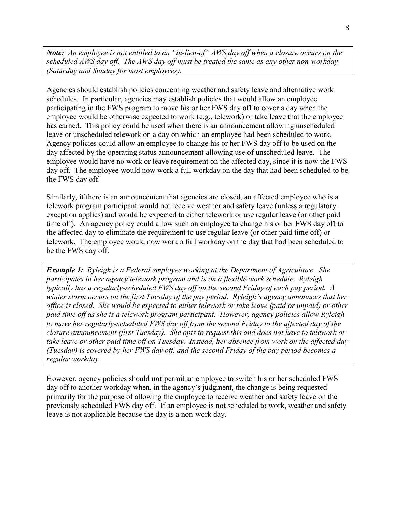*Note: An employee is not entitled to an "in-lieu-of" AWS day off when a closure occurs on the scheduled AWS day off. The AWS day off must be treated the same as any other non-workday (Saturday and Sunday for most employees).* 

Agencies should establish policies concerning weather and safety leave and alternative work schedules. In particular, agencies may establish policies that would allow an employee participating in the FWS program to move his or her FWS day off to cover a day when the employee would be otherwise expected to work (e.g., telework) or take leave that the employee has earned. This policy could be used when there is an announcement allowing unscheduled leave or unscheduled telework on a day on which an employee had been scheduled to work. Agency policies could allow an employee to change his or her FWS day off to be used on the day affected by the operating status announcement allowing use of unscheduled leave. The employee would have no work or leave requirement on the affected day, since it is now the FWS day off. The employee would now work a full workday on the day that had been scheduled to be the FWS day off.

Similarly, if there is an announcement that agencies are closed, an affected employee who is a telework program participant would not receive weather and safety leave (unless a regulatory exception applies) and would be expected to either telework or use regular leave (or other paid time off). An agency policy could allow such an employee to change his or her FWS day off to the affected day to eliminate the requirement to use regular leave (or other paid time off) or telework. The employee would now work a full workday on the day that had been scheduled to be the FWS day off.

*Example 1: Ryleigh is a Federal employee working at the Department of Agriculture. She participates in her agency telework program and is on a flexible work schedule. Ryleigh typically has a regularly-scheduled FWS day off on the second Friday of each pay period. A winter storm occurs on the first Tuesday of the pay period. Ryleigh's agency announces that her office is closed. She would be expected to either telework or take leave (paid or unpaid) or other paid time off as she is a telework program participant. However, agency policies allow Ryleigh to move her regularly-scheduled FWS day off from the second Friday to the affected day of the closure announcement (first Tuesday). She opts to request this and does not have to telework or take leave or other paid time off on Tuesday. Instead, her absence from work on the affected day (Tuesday) is covered by her FWS day off, and the second Friday of the pay period becomes a regular workday.* 

However, agency policies should **not** permit an employee to switch his or her scheduled FWS day off to another workday when, in the agency's judgment, the change is being requested primarily for the purpose of allowing the employee to receive weather and safety leave on the previously scheduled FWS day off. If an employee is not scheduled to work, weather and safety leave is not applicable because the day is a non-work day.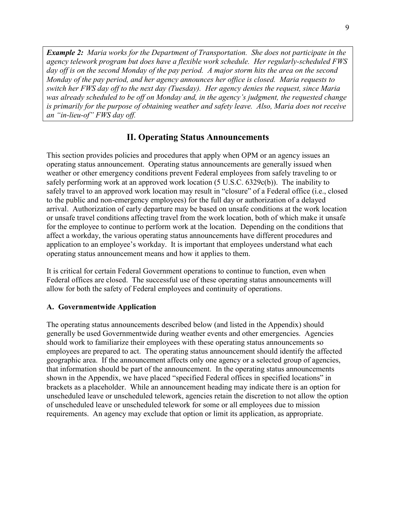*Example 2: Maria works for the Department of Transportation. She does not participate in the agency telework program but does have a flexible work schedule. Her regularly-scheduled FWS day off is on the second Monday of the pay period. A major storm hits the area on the second Monday of the pay period, and her agency announces her office is closed. Maria requests to switch her FWS day off to the next day (Tuesday). Her agency denies the request, since Maria was already scheduled to be off on Monday and, in the agency's judgment, the requested change is primarily for the purpose of obtaining weather and safety leave. Also, Maria does not receive an "in-lieu-of" FWS day off.* 

#### **II. Operating Status Announcements**

<span id="page-13-0"></span>This section provides policies and procedures that apply when OPM or an agency issues an operating status announcement. Operating status announcements are generally issued when weather or other emergency conditions prevent Federal employees from safely traveling to or safely performing work at an approved work location (5 U.S.C. 6329c(b)). The inability to safely travel to an approved work location may result in "closure" of a Federal office (i.e., closed to the public and non-emergency employees) for the full day or authorization of a delayed arrival. Authorization of early departure may be based on unsafe conditions at the work location or unsafe travel conditions affecting travel from the work location, both of which make it unsafe for the employee to continue to perform work at the location. Depending on the conditions that affect a workday, the various operating status announcements have different procedures and application to an employee's workday. It is important that employees understand what each operating status announcement means and how it applies to them.

It is critical for certain Federal Government operations to continue to function, even when Federal offices are closed. The successful use of these operating status announcements will allow for both the safety of Federal employees and continuity of operations.

#### <span id="page-13-1"></span>**A. Governmentwide Application**

The operating status announcements described below (and listed in the Appendix) should generally be used Governmentwide during weather events and other emergencies. Agencies should work to familiarize their employees with these operating status announcements so employees are prepared to act. The operating status announcement should identify the affected geographic area. If the announcement affects only one agency or a selected group of agencies, that information should be part of the announcement. In the operating status announcements shown in the Appendix, we have placed "specified Federal offices in specified locations" in brackets as a placeholder. While an announcement heading may indicate there is an option for unscheduled leave or unscheduled telework, agencies retain the discretion to not allow the option of unscheduled leave or unscheduled telework for some or all employees due to mission requirements. An agency may exclude that option or limit its application, as appropriate.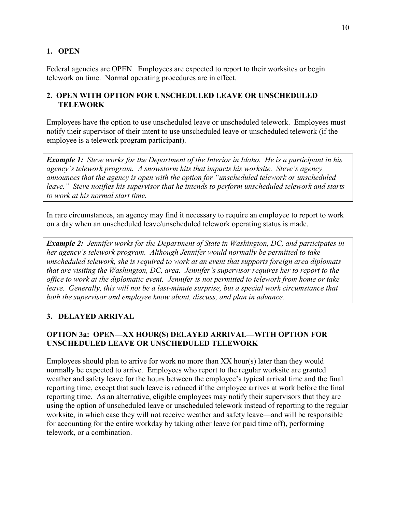#### <span id="page-14-0"></span>**1. OPEN**

Federal agencies are OPEN. Employees are expected to report to their worksites or begin telework on time. Normal operating procedures are in effect.

#### <span id="page-14-2"></span><span id="page-14-1"></span>**2. OPEN WITH OPTION FOR UNSCHEDULED LEAVE OR UNSCHEDULED TELEWORK**

Employees have the option to use unscheduled leave or unscheduled telework. Employees must notify their supervisor of their intent to use unscheduled leave or unscheduled telework (if the employee is a telework program participant).

*Example 1: Steve works for the Department of the Interior in Idaho. He is a participant in his agency's telework program. A snowstorm hits that impacts his worksite. Steve's agency announces that the agency is open with the option for "unscheduled telework or unscheduled leave." Steve notifies his supervisor that he intends to perform unscheduled telework and starts to work at his normal start time.*

In rare circumstances, an agency may find it necessary to require an employee to report to work on a day when an unscheduled leave/unscheduled telework operating status is made.

*Example 2: Jennifer works for the Department of State in Washington, DC, and participates in her agency's telework program. Although Jennifer would normally be permitted to take unscheduled telework, she is required to work at an event that supports foreign area diplomats that are visiting the Washington, DC, area. Jennifer's supervisor requires her to report to the office to work at the diplomatic event. Jennifer is not permitted to telework from home or take leave.* Generally, this will not be a last-minute surprise, but a special work circumstance that *both the supervisor and employee know about, discuss, and plan in advance.* 

## <span id="page-14-3"></span>**3. DELAYED ARRIVAL**

## **OPTION 3a: OPEN—XX HOUR(S) DELAYED ARRIVAL—WITH OPTION FOR UNSCHEDULED LEAVE OR UNSCHEDULED TELEWORK**

Employees should plan to arrive for work no more than XX hour(s) later than they would normally be expected to arrive. Employees who report to the regular worksite are granted weather and safety leave for the hours between the employee's typical arrival time and the final reporting time, except that such leave is reduced if the employee arrives at work before the final reporting time. As an alternative, eligible employees may notify their supervisors that they are using the option of unscheduled leave or unscheduled telework instead of reporting to the regular worksite, in which case they will not receive weather and safety leave—and will be responsible for accounting for the entire workday by taking other leave (or paid time off), performing telework, or a combination.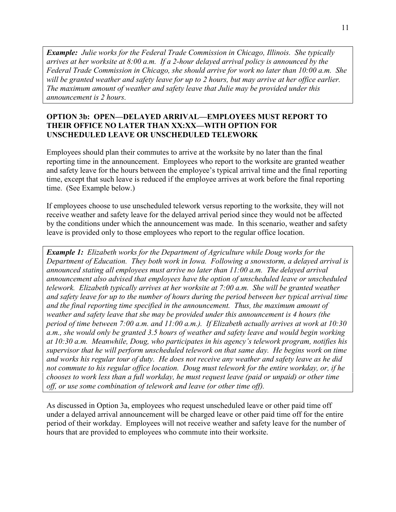*Example: Julie works for the Federal Trade Commission in Chicago, Illinois. She typically arrives at her worksite at 8:00 a.m. If a 2-hour delayed arrival policy is announced by the Federal Trade Commission in Chicago, she should arrive for work no later than 10:00 a.m. She will be granted weather and safety leave for up to 2 hours, but may arrive at her office earlier. The maximum amount of weather and safety leave that Julie may be provided under this announcement is 2 hours.* 

#### **OPTION 3b: OPEN—DELAYED ARRIVAL—EMPLOYEES MUST REPORT TO THEIR OFFICE NO LATER THAN XX:XX—WITH OPTION FOR UNSCHEDULED LEAVE OR UNSCHEDULED TELEWORK**

Employees should plan their commutes to arrive at the worksite by no later than the final reporting time in the announcement. Employees who report to the worksite are granted weather and safety leave for the hours between the employee's typical arrival time and the final reporting time, except that such leave is reduced if the employee arrives at work before the final reporting time. (See Example below.)

If employees choose to use unscheduled telework versus reporting to the worksite, they will not receive weather and safety leave for the delayed arrival period since they would not be affected by the conditions under which the announcement was made. In this scenario, weather and safety leave is provided only to those employees who report to the regular office location.

*Example 1: Elizabeth works for the Department of Agriculture while Doug works for the Department of Education. They both work in Iowa. Following a snowstorm, a delayed arrival is announced stating all employees must arrive no later than 11:00 a.m. The delayed arrival announcement also advised that employees have the option of unscheduled leave or unscheduled telework. Elizabeth typically arrives at her worksite at 7:00 a.m. She will be granted weather and safety leave for up to the number of hours during the period between her typical arrival time and the final reporting time specified in the announcement. Thus, the maximum amount of weather and safety leave that she may be provided under this announcement is 4 hours (the period of time between 7:00 a.m. and 11:00 a.m.). If Elizabeth actually arrives at work at 10:30 a.m., she would only be granted 3.5 hours of weather and safety leave and would begin working at 10:30 a.m. Meanwhile, Doug, who participates in his agency's telework program, notifies his supervisor that he will perform unscheduled telework on that same day. He begins work on time and works his regular tour of duty. He does not receive any weather and safety leave as he did not commute to his regular office location. Doug must telework for the entire workday, or, if he chooses to work less than a full workday, he must request leave (paid or unpaid) or other time off, or use some combination of telework and leave (or other time off).* 

As discussed in Option 3a, employees who request unscheduled leave or other paid time off under a delayed arrival announcement will be charged leave or other paid time off for the entire period of their workday. Employees will not receive weather and safety leave for the number of hours that are provided to employees who commute into their worksite.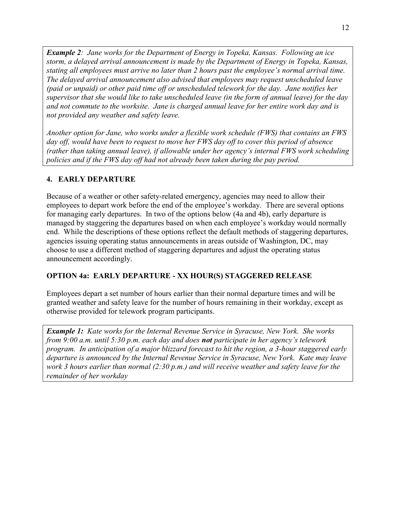*Example 2: Jane works for the Department of Energy in Topeka, Kansas. Following an ice storm, a delayed arrival announcement is made by the Department of Energy in Topeka, Kansas, stating all employees must arrive no later than 2 hours past the employee's normal arrival time. The delayed arrival announcement also advised that employees may request unscheduled leave (paid or unpaid) or other paid time off or unscheduled telework for the day. Jane notifies her supervisor that she would like to take unscheduled leave (in the form of annual leave) for the day and not commute to the worksite. Jane is charged annual leave for her entire work day and is not provided any weather and safety leave.* 

*Another option for Jane, who works under a flexible work schedule (FWS) that contains an FWS day off, would have been to request to move her FWS day off to cover this period of absence (rather than taking annual leave), if allowable under her agency's internal FWS work scheduling policies and if the FWS day off had not already been taken during the pay period.*

#### <span id="page-16-0"></span>**4. EARLY DEPARTURE**

Because of a weather or other safety-related emergency, agencies may need to allow their employees to depart work before the end of the employee's workday. There are several options for managing early departures. In two of the options below (4a and 4b), early departure is managed by staggering the departures based on when each employee's workday would normally end. While the descriptions of these options reflect the default methods of staggering departures, agencies issuing operating status announcements in areas outside of Washington, DC, may choose to use a different method of staggering departures and adjust the operating status announcement accordingly.

#### **OPTION 4a: EARLY DEPARTURE - XX HOUR(S) STAGGERED RELEASE**

Employees depart a set number of hours earlier than their normal departure times and will be granted weather and safety leave for the number of hours remaining in their workday, except as otherwise provided for telework program participants.

*Example 1: Kate works for the Internal Revenue Service in Syracuse, New York. She works from 9:00 a.m. until 5:30 p.m. each day and does not participate in her agency's telework program. In anticipation of a major blizzard forecast to hit the region, a 3-hour staggered early departure is announced by the Internal Revenue Service in Syracuse, New York. Kate may leave work 3 hours earlier than normal (2:30 p.m.) and will receive weather and safety leave for the remainder of her workday*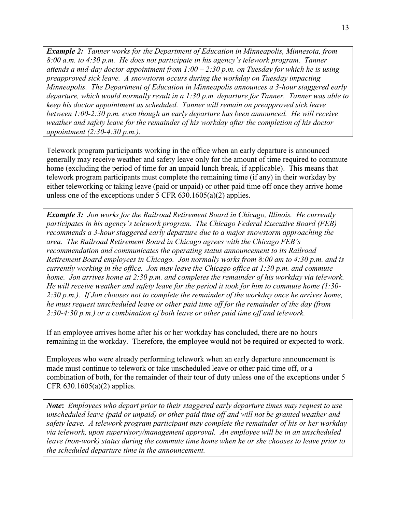*Example 2: Tanner works for the Department of Education in Minneapolis, Minnesota, from 8:00 a.m. to 4:30 p.m. He does not participate in his agency's telework program. Tanner attends a mid-day doctor appointment from 1:00 – 2:30 p.m. on Tuesday for which he is using preapproved sick leave. A snowstorm occurs during the workday on Tuesday impacting Minneapolis. The Department of Education in Minneapolis announces a 3-hour staggered early departure, which would normally result in a 1:30 p.m. departure for Tanner. Tanner was able to keep his doctor appointment as scheduled. Tanner will remain on preapproved sick leave between 1:00-2:30 p.m. even though an early departure has been announced. He will receive weather and safety leave for the remainder of his workday after the completion of his doctor appointment (2:30-4:30 p.m.).* 

Telework program participants working in the office when an early departure is announced generally may receive weather and safety leave only for the amount of time required to commute home (excluding the period of time for an unpaid lunch break, if applicable). This means that telework program participants must complete the remaining time (if any) in their workday by either teleworking or taking leave (paid or unpaid) or other paid time off once they arrive home unless one of the exceptions under 5 CFR 630.1605(a)(2) applies.

*Example 3: Jon works for the Railroad Retirement Board in Chicago, Illinois. He currently participates in his agency's telework program. The Chicago Federal Executive Board (FEB) recommends a 3-hour staggered early departure due to a major snowstorm approaching the area. The Railroad Retirement Board in Chicago agrees with the Chicago FEB's recommendation and communicates the operating status announcement to its Railroad Retirement Board employees in Chicago. Jon normally works from 8:00 am to 4:30 p.m. and is currently working in the office. Jon may leave the Chicago office at 1:30 p.m. and commute home. Jon arrives home at 2:30 p.m. and completes the remainder of his workday via telework. He will receive weather and safety leave for the period it took for him to commute home (1:30- 2:30 p.m.). If Jon chooses not to complete the remainder of the workday once he arrives home, he must request unscheduled leave or other paid time off for the remainder of the day (from 2:30-4:30 p.m.) or a combination of both leave or other paid time off and telework.* 

If an employee arrives home after his or her workday has concluded, there are no hours remaining in the workday. Therefore, the employee would not be required or expected to work.

Employees who were already performing telework when an early departure announcement is made must continue to telework or take unscheduled leave or other paid time off, or a combination of both, for the remainder of their tour of duty unless one of the exceptions under 5 CFR  $630.1605(a)(2)$  applies.

*Note***:** *Employees who depart prior to their staggered early departure times may request to use unscheduled leave (paid or unpaid) or other paid time off and will not be granted weather and safety leave. A telework program participant may complete the remainder of his or her workday via telework, upon supervisory/management approval. An employee will be in an unscheduled leave (non-work) status during the commute time home when he or she chooses to leave prior to the scheduled departure time in the announcement.*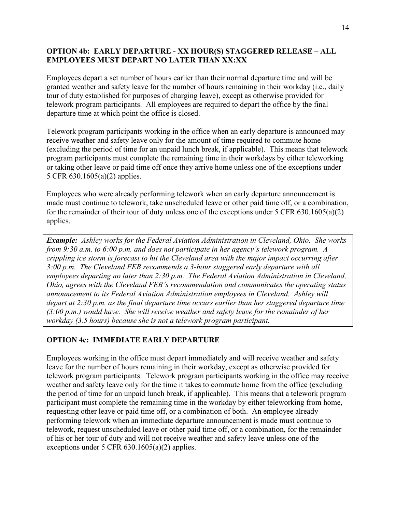#### **OPTION 4b: EARLY DEPARTURE - XX HOUR(S) STAGGERED RELEASE – ALL EMPLOYEES MUST DEPART NO LATER THAN XX:XX**

Employees depart a set number of hours earlier than their normal departure time and will be granted weather and safety leave for the number of hours remaining in their workday (i.e., daily tour of duty established for purposes of charging leave), except as otherwise provided for telework program participants. All employees are required to depart the office by the final departure time at which point the office is closed.

Telework program participants working in the office when an early departure is announced may receive weather and safety leave only for the amount of time required to commute home (excluding the period of time for an unpaid lunch break, if applicable). This means that telework program participants must complete the remaining time in their workdays by either teleworking or taking other leave or paid time off once they arrive home unless one of the exceptions under 5 CFR 630.1605(a)(2) applies.

Employees who were already performing telework when an early departure announcement is made must continue to telework, take unscheduled leave or other paid time off, or a combination, for the remainder of their tour of duty unless one of the exceptions under 5 CFR 630.1605(a)(2) applies.

*Example: Ashley works for the Federal Aviation Administration in Cleveland, Ohio. She works from 9:30 a.m. to 6:00 p.m. and does not participate in her agency's telework program. A crippling ice storm is forecast to hit the Cleveland area with the major impact occurring after 3:00 p.m. The Cleveland FEB recommends a 3-hour staggered early departure with all employees departing no later than 2:30 p.m. The Federal Aviation Administration in Cleveland, Ohio, agrees with the Cleveland FEB's recommendation and communicates the operating status announcement to its Federal Aviation Administration employees in Cleveland. Ashley will depart at 2:30 p.m. as the final departure time occurs earlier than her staggered departure time (3:00 p.m.) would have. She will receive weather and safety leave for the remainder of her workday (3.5 hours) because she is not a telework program participant.* 

#### **OPTION 4c: IMMEDIATE EARLY DEPARTURE**

Employees working in the office must depart immediately and will receive weather and safety leave for the number of hours remaining in their workday, except as otherwise provided for telework program participants. Telework program participants working in the office may receive weather and safety leave only for the time it takes to commute home from the office (excluding the period of time for an unpaid lunch break, if applicable). This means that a telework program participant must complete the remaining time in the workday by either teleworking from home, requesting other leave or paid time off, or a combination of both. An employee already performing telework when an immediate departure announcement is made must continue to telework, request unscheduled leave or other paid time off, or a combination, for the remainder of his or her tour of duty and will not receive weather and safety leave unless one of the exceptions under 5 CFR 630.1605(a)(2) applies.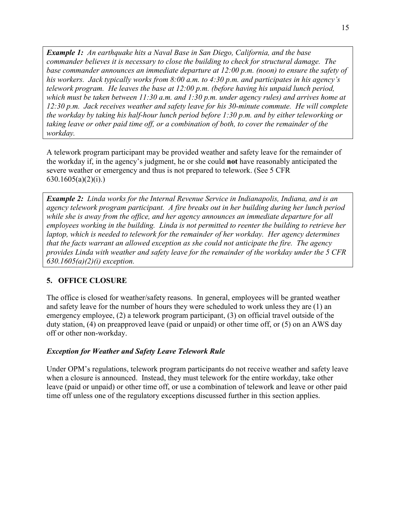*Example 1: An earthquake hits a Naval Base in San Diego, California, and the base commander believes it is necessary to close the building to check for structural damage. The base commander announces an immediate departure at 12:00 p.m. (noon) to ensure the safety of his workers. Jack typically works from 8:00 a.m. to 4:30 p.m. and participates in his agency's telework program. He leaves the base at 12:00 p.m. (before having his unpaid lunch period, which must be taken between 11:30 a.m. and 1:30 p.m. under agency rules) and arrives home at 12:30 p.m. Jack receives weather and safety leave for his 30-minute commute. He will complete the workday by taking his half-hour lunch period before 1:30 p.m. and by either teleworking or taking leave or other paid time off, or a combination of both, to cover the remainder of the workday.* 

A telework program participant may be provided weather and safety leave for the remainder of the workday if, in the agency's judgment, he or she could **not** have reasonably anticipated the severe weather or emergency and thus is not prepared to telework. (See 5 CFR  $630.1605(a)(2)(i)$ .

*Example 2: Linda works for the Internal Revenue Service in Indianapolis, Indiana, and is an agency telework program participant. A fire breaks out in her building during her lunch period while she is away from the office, and her agency announces an immediate departure for all employees working in the building. Linda is not permitted to reenter the building to retrieve her laptop, which is needed to telework for the remainder of her workday. Her agency determines that the facts warrant an allowed exception as she could not anticipate the fire. The agency provides Linda with weather and safety leave for the remainder of the workday under the 5 CFR 630.1605(a)(2)(i) exception.* 

#### <span id="page-19-0"></span>**5. OFFICE CLOSURE**

The office is closed for weather/safety reasons. In general, employees will be granted weather and safety leave for the number of hours they were scheduled to work unless they are (1) an emergency employee, (2) a telework program participant, (3) on official travel outside of the duty station, (4) on preapproved leave (paid or unpaid) or other time off, or (5) on an AWS day off or other non-workday.

#### *Exception for Weather and Safety Leave Telework Rule*

Under OPM's regulations, telework program participants do not receive weather and safety leave when a closure is announced. Instead, they must telework for the entire workday, take other leave (paid or unpaid) or other time off, or use a combination of telework and leave or other paid time off unless one of the regulatory exceptions discussed further in this section applies.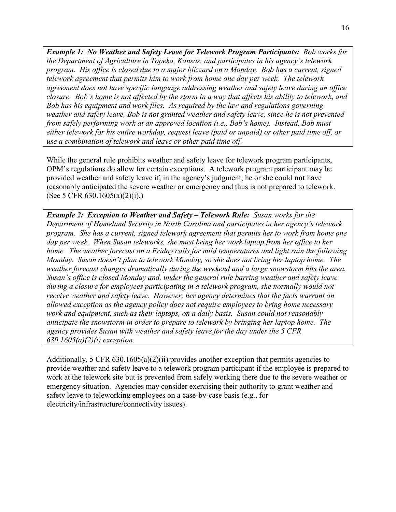*Example 1: No Weather and Safety Leave for Telework Program Participants: Bob works for the Department of Agriculture in Topeka, Kansas, and participates in his agency's telework program. His office is closed due to a major blizzard on a Monday. Bob has a current, signed telework agreement that permits him to work from home one day per week. The telework agreement does not have specific language addressing weather and safety leave during an office closure. Bob's home is not affected by the storm in a way that affects his ability to telework, and Bob has his equipment and work files. As required by the law and regulations governing weather and safety leave, Bob is not granted weather and safety leave, since he is not prevented from safely performing work at an approved location (i.e., Bob's home). Instead, Bob must either telework for his entire workday, request leave (paid or unpaid) or other paid time off, or use a combination of telework and leave or other paid time off.*

While the general rule prohibits weather and safety leave for telework program participants, OPM's regulations do allow for certain exceptions. A telework program participant may be provided weather and safety leave if, in the agency's judgment, he or she could **not** have reasonably anticipated the severe weather or emergency and thus is not prepared to telework. (See 5 CFR 630.1605(a)(2)(i).)

*Example 2: Exception to Weather and Safety – Telework Rule: Susan works for the Department of Homeland Security in North Carolina and participates in her agency's telework program. She has a current, signed telework agreement that permits her to work from home one day per week. When Susan teleworks, she must bring her work laptop from her office to her home. The weather forecast on a Friday calls for mild temperatures and light rain the following Monday. Susan doesn't plan to telework Monday, so she does not bring her laptop home. The weather forecast changes dramatically during the weekend and a large snowstorm hits the area. Susan's office is closed Monday and, under the general rule barring weather and safety leave during a closure for employees participating in a telework program, she normally would not receive weather and safety leave. However, her agency determines that the facts warrant an allowed exception as the agency policy does not require employees to bring home necessary work and equipment, such as their laptops, on a daily basis. Susan could not reasonably anticipate the snowstorm in order to prepare to telework by bringing her laptop home. The agency provides Susan with weather and safety leave for the day under the 5 CFR 630.1605(a)(2)(i) exception.* 

Additionally, 5 CFR 630.1605(a)(2)(ii) provides another exception that permits agencies to provide weather and safety leave to a telework program participant if the employee is prepared to work at the telework site but is prevented from safely working there due to the severe weather or emergency situation. Agencies may consider exercising their authority to grant weather and safety leave to teleworking employees on a case-by-case basis (e.g., for electricity/infrastructure/connectivity issues).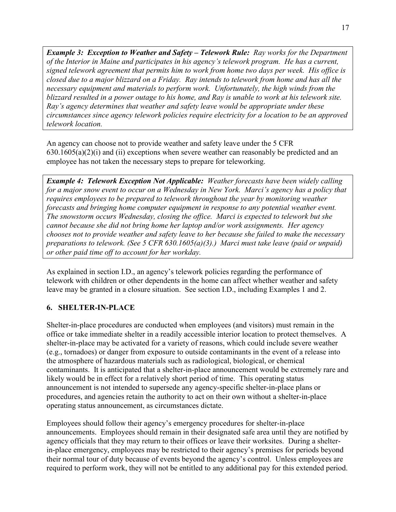*Example 3: Exception to Weather and Safety – Telework Rule: Ray works for the Department of the Interior in Maine and participates in his agency's telework program. He has a current, signed telework agreement that permits him to work from home two days per week. His office is closed due to a major blizzard on a Friday. Ray intends to telework from home and has all the necessary equipment and materials to perform work. Unfortunately, the high winds from the blizzard resulted in a power outage to his home, and Ray is unable to work at his telework site. Ray's agency determines that weather and safety leave would be appropriate under these circumstances since agency telework policies require electricity for a location to be an approved telework location.* 

An agency can choose not to provide weather and safety leave under the 5 CFR  $630.1605(a)(2)(i)$  and (ii) exceptions when severe weather can reasonably be predicted and an employee has not taken the necessary steps to prepare for teleworking.

*Example 4: Telework Exception Not Applicable: Weather forecasts have been widely calling for a major snow event to occur on a Wednesday in New York. Marci's agency has a policy that requires employees to be prepared to telework throughout the year by monitoring weather forecasts and bringing home computer equipment in response to any potential weather event. The snowstorm occurs Wednesday, closing the office. Marci is expected to telework but she cannot because she did not bring home her laptop and/or work assignments. Her agency chooses not to provide weather and safety leave to her because she failed to make the necessary preparations to telework. (See 5 CFR 630.1605(a)(3).) Marci must take leave (paid or unpaid) or other paid time off to account for her workday.* 

As explained in section I.D., an agency's telework policies regarding the performance of telework with children or other dependents in the home can affect whether weather and safety leave may be granted in a closure situation. See section I.D., including Examples 1 and 2.

#### <span id="page-21-0"></span>**6. SHELTER-IN-PLACE**

Shelter-in-place procedures are conducted when employees (and visitors) must remain in the office or take immediate shelter in a readily accessible interior location to protect themselves. A shelter-in-place may be activated for a variety of reasons, which could include severe weather (e.g., tornadoes) or danger from exposure to outside contaminants in the event of a release into the atmosphere of hazardous materials such as radiological, biological, or chemical contaminants. It is anticipated that a shelter-in-place announcement would be extremely rare and likely would be in effect for a relatively short period of time. This operating status announcement is not intended to supersede any agency-specific shelter-in-place plans or procedures, and agencies retain the authority to act on their own without a shelter-in-place operating status announcement, as circumstances dictate.

Employees should follow their agency's emergency procedures for shelter-in-place announcements. Employees should remain in their designated safe area until they are notified by agency officials that they may return to their offices or leave their worksites. During a shelterin-place emergency, employees may be restricted to their agency's premises for periods beyond their normal tour of duty because of events beyond the agency's control. Unless employees are required to perform work, they will not be entitled to any additional pay for this extended period.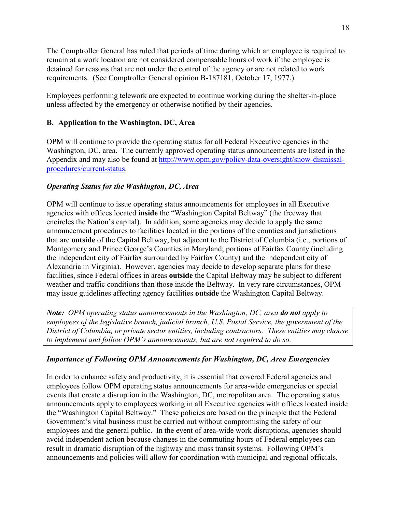The Comptroller General has ruled that periods of time during which an employee is required to remain at a work location are not considered compensable hours of work if the employee is detained for reasons that are not under the control of the agency or are not related to work requirements. (See Comptroller General opinion B-187181, October 17, 1977.)

Employees performing telework are expected to continue working during the shelter-in-place unless affected by the emergency or otherwise notified by their agencies.

#### <span id="page-22-0"></span>**B. Application to the Washington, DC, Area**

OPM will continue to provide the operating status for all Federal Executive agencies in the Washington, DC, area. The currently approved operating status announcements are listed in the Appendix and may also be found at [http://www.opm.gov/policy-data-oversight/snow-dismissal](http://www.opm.gov/policy-data-oversight/snow-dismissal-procedures/current-status)[procedures/current-status.](http://www.opm.gov/policy-data-oversight/snow-dismissal-procedures/current-status)

#### *Operating Status for the Washington, DC, Area*

OPM will continue to issue operating status announcements for employees in all Executive agencies with offices located **inside** the "Washington Capital Beltway" (the freeway that encircles the Nation's capital). In addition, some agencies may decide to apply the same announcement procedures to facilities located in the portions of the counties and jurisdictions that are **outside** of the Capital Beltway, but adjacent to the District of Columbia (i.e., portions of Montgomery and Prince George's Counties in Maryland; portions of Fairfax County (including the independent city of Fairfax surrounded by Fairfax County) and the independent city of Alexandria in Virginia). However, agencies may decide to develop separate plans for these facilities, since Federal offices in areas **outside** the Capital Beltway may be subject to different weather and traffic conditions than those inside the Beltway. In very rare circumstances, OPM may issue guidelines affecting agency facilities **outside** the Washington Capital Beltway.

*Note: OPM operating status announcements in the Washington, DC, area do not apply to employees of the legislative branch, judicial branch, U.S. Postal Service, the government of the District of Columbia, or private sector entities, including contractors. These entities may choose to implement and follow OPM's announcements, but are not required to do so.* 

#### *Importance of Following OPM Announcements for Washington, DC, Area Emergencies*

In order to enhance safety and productivity, it is essential that covered Federal agencies and employees follow OPM operating status announcements for area-wide emergencies or special events that create a disruption in the Washington, DC, metropolitan area. The operating status announcements apply to employees working in all Executive agencies with offices located inside the "Washington Capital Beltway." These policies are based on the principle that the Federal Government's vital business must be carried out without compromising the safety of our employees and the general public. In the event of area-wide work disruptions, agencies should avoid independent action because changes in the commuting hours of Federal employees can result in dramatic disruption of the highway and mass transit systems. Following OPM's announcements and policies will allow for coordination with municipal and regional officials,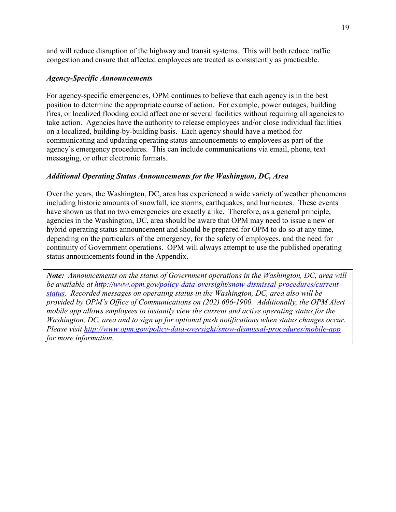and will reduce disruption of the highway and transit systems. This will both reduce traffic congestion and ensure that affected employees are treated as consistently as practicable.

#### *Agency-Specific Announcements*

For agency-specific emergencies, OPM continues to believe that each agency is in the best position to determine the appropriate course of action. For example, power outages, building fires, or localized flooding could affect one or several facilities without requiring all agencies to take action. Agencies have the authority to release employees and/or close individual facilities on a localized, building-by-building basis. Each agency should have a method for communicating and updating operating status announcements to employees as part of the agency's emergency procedures. This can include communications via email, phone, text messaging, or other electronic formats.

#### *Additional Operating Status Announcements for the Washington, DC, Area*

Over the years, the Washington, DC, area has experienced a wide variety of weather phenomena including historic amounts of snowfall, ice storms, earthquakes, and hurricanes. These events have shown us that no two emergencies are exactly alike. Therefore, as a general principle, agencies in the Washington, DC, area should be aware that OPM may need to issue a new or hybrid operating status announcement and should be prepared for OPM to do so at any time, depending on the particulars of the emergency, for the safety of employees, and the need for continuity of Government operations.OPM will always attempt to use the published operating status announcements found in the Appendix.

<span id="page-23-0"></span>*Note: Announcements on the status of Government operations in the Washington, DC, area will be available at [http://www.opm.gov/policy-data-oversight/snow-dismissal-procedures/current](http://www.opm.gov/policy-data-oversight/snow-dismissal-procedures/current-status)[status.](http://www.opm.gov/policy-data-oversight/snow-dismissal-procedures/current-status) Recorded messages on operating status in the Washington, DC, area also will be provided by OPM's Office of Communications on (202) 606-1900. Additionally, the OPM Alert mobile app allows employees to instantly view the current and active operating status for the Washington, DC, area and to sign up for optional push notifications when status changes occur. Please visit<http://www.opm.gov/policy-data-oversight/snow-dismissal-procedures/mobile-app> for more information.*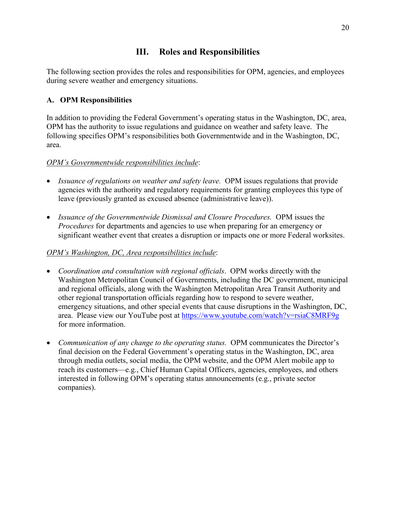# **III. Roles and Responsibilities**

The following section provides the roles and responsibilities for OPM, agencies, and employees during severe weather and emergency situations.

## <span id="page-24-0"></span>**A. OPM Responsibilities**

In addition to providing the Federal Government's operating status in the Washington, DC, area, OPM has the authority to issue regulations and guidance on weather and safety leave. The following specifies OPM's responsibilities both Governmentwide and in the Washington, DC, area.

## *OPM's Governmentwide responsibilities include*:

- *Issuance of regulations on weather and safety leave.* OPM issues regulations that provide agencies with the authority and regulatory requirements for granting employees this type of leave (previously granted as excused absence (administrative leave)).
- *Issuance of the Governmentwide Dismissal and Closure Procedures.* OPM issues the *Procedures* for departments and agencies to use when preparing for an emergency or significant weather event that creates a disruption or impacts one or more Federal worksites.

## *OPM's Washington, DC, Area responsibilities include*:

- *Coordination and consultation with regional officials*. OPM works directly with the Washington Metropolitan Council of Governments, including the DC government, municipal and regional officials, along with the Washington Metropolitan Area Transit Authority and other regional transportation officials regarding how to respond to severe weather, emergency situations, and other special events that cause disruptions in the Washington, DC, area. Please view our YouTube post at<https://www.youtube.com/watch?v=rsiaC8MRF9g> for more information.
- *Communication of any change to the operating status.* OPM communicates the Director's final decision on the Federal Government's operating status in the Washington, DC, area through media outlets, social media, the OPM website, and the OPM Alert mobile app to reach its customers—e.g., Chief Human Capital Officers, agencies, employees, and others interested in following OPM's operating status announcements (e.g., private sector companies).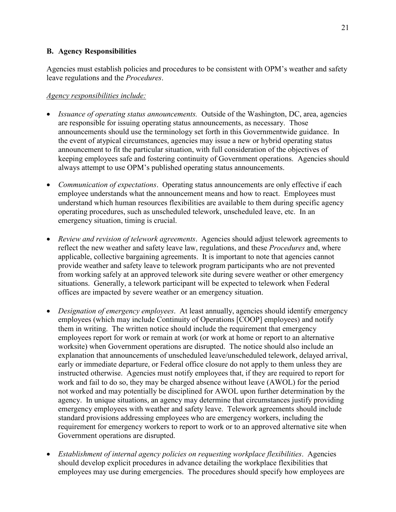#### <span id="page-25-0"></span>**B. Agency Responsibilities**

Agencies must establish policies and procedures to be consistent with OPM's weather and safety leave regulations and the *Procedures*.

#### *Agency responsibilities include:*

- *Issuance of operating status announcements.* Outside of the Washington, DC, area, agencies are responsible for issuing operating status announcements, as necessary. Those announcements should use the terminology set forth in this Governmentwide guidance. In the event of atypical circumstances, agencies may issue a new or hybrid operating status announcement to fit the particular situation, with full consideration of the objectives of keeping employees safe and fostering continuity of Government operations. Agencies should always attempt to use OPM's published operating status announcements.
- *Communication of expectations*. Operating status announcements are only effective if each employee understands what the announcement means and how to react. Employees must understand which human resources flexibilities are available to them during specific agency operating procedures, such as unscheduled telework, unscheduled leave, etc. In an emergency situation, timing is crucial.
- *Review and revision of telework agreements*. Agencies should adjust telework agreements to reflect the new weather and safety leave law, regulations, and these *Procedures* and, where applicable, collective bargaining agreements. It is important to note that agencies cannot provide weather and safety leave to telework program participants who are not prevented from working safely at an approved telework site during severe weather or other emergency situations. Generally, a telework participant will be expected to telework when Federal offices are impacted by severe weather or an emergency situation.
- *Designation of emergency employees*. At least annually, agencies should identify emergency employees (which may include Continuity of Operations [COOP] employees) and notify them in writing. The written notice should include the requirement that emergency employees report for work or remain at work (or work at home or report to an alternative worksite) when Government operations are disrupted. The notice should also include an explanation that announcements of unscheduled leave/unscheduled telework, delayed arrival, early or immediate departure, or Federal office closure do not apply to them unless they are instructed otherwise. Agencies must notify employees that, if they are required to report for work and fail to do so, they may be charged absence without leave (AWOL) for the period not worked and may potentially be disciplined for AWOL upon further determination by the agency. In unique situations, an agency may determine that circumstances justify providing emergency employees with weather and safety leave. Telework agreements should include standard provisions addressing employees who are emergency workers, including the requirement for emergency workers to report to work or to an approved alternative site when Government operations are disrupted.
- *Establishment of internal agency policies on requesting workplace flexibilities*. Agencies should develop explicit procedures in advance detailing the workplace flexibilities that employees may use during emergencies. The procedures should specify how employees are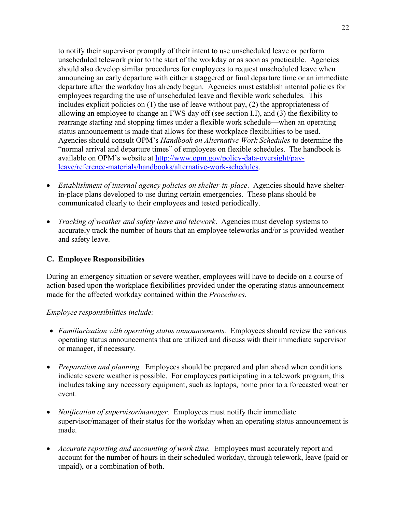to notify their supervisor promptly of their intent to use unscheduled leave or perform unscheduled telework prior to the start of the workday or as soon as practicable. Agencies should also develop similar procedures for employees to request unscheduled leave when announcing an early departure with either a staggered or final departure time or an immediate departure after the workday has already begun. Agencies must establish internal policies for employees regarding the use of unscheduled leave and flexible work schedules. This includes explicit policies on (1) the use of leave without pay, (2) the appropriateness of allowing an employee to change an FWS day off (see section I.I), and (3) the flexibility to rearrange starting and stopping times under a flexible work schedule—when an operating status announcement is made that allows for these workplace flexibilities to be used. Agencies should consult OPM's *Handbook on Alternative Work Schedules* to determine the "normal arrival and departure times" of employees on flexible schedules. The handbook is available on OPM's website at [http://www.opm.gov/policy-data-oversight/pay](http://www.opm.gov/policy-data-oversight/pay-leave/reference-materials/handbooks/alternative-work-schedules)[leave/reference-materials/handbooks/alternative-work-schedules.](http://www.opm.gov/policy-data-oversight/pay-leave/reference-materials/handbooks/alternative-work-schedules)

- *Establishment of internal agency policies on shelter-in-place*. Agencies should have shelterin-place plans developed to use during certain emergencies. These plans should be communicated clearly to their employees and tested periodically.
- *Tracking of weather and safety leave and telework*. Agencies must develop systems to accurately track the number of hours that an employee teleworks and/or is provided weather and safety leave.

## <span id="page-26-0"></span>**C. Employee Responsibilities**

During an emergency situation or severe weather, employees will have to decide on a course of action based upon the workplace flexibilities provided under the operating status announcement made for the affected workday contained within the *Procedures*.

#### *Employee responsibilities include:*

- Familiarization with operating status announcements. Employees should review the various operating status announcements that are utilized and discuss with their immediate supervisor or manager, if necessary.
- *Preparation and planning.* Employees should be prepared and plan ahead when conditions indicate severe weather is possible. For employees participating in a telework program, this includes taking any necessary equipment, such as laptops, home prior to a forecasted weather event.
- *Notification of supervisor/manager.* Employees must notify their immediate supervisor/manager of their status for the workday when an operating status announcement is made.
- *Accurate reporting and accounting of work time.* Employees must accurately report and account for the number of hours in their scheduled workday, through telework, leave (paid or unpaid), or a combination of both.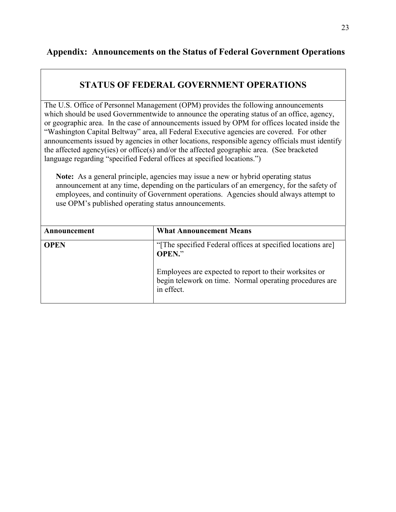# <span id="page-27-0"></span>**Appendix: Announcements on the Status of Federal Government Operations**

# **STATUS OF FEDERAL GOVERNMENT OPERATIONS**

The U.S. Office of Personnel Management (OPM) provides the following announcements which should be used Governmentwide to announce the operating status of an office, agency, or geographic area. In the case of announcements issued by OPM for offices located inside the "Washington Capital Beltway" area, all Federal Executive agencies are covered. For other announcements issued by agencies in other locations, responsible agency officials must identify the affected agency(ies) or office(s) and/or the affected geographic area. (See bracketed language regarding "specified Federal offices at specified locations.")

**Note:** As a general principle, agencies may issue a new or hybrid operating status announcement at any time, depending on the particulars of an emergency, for the safety of employees, and continuity of Government operations. Agencies should always attempt to use OPM's published operating status announcements.

| Announcement | <b>What Announcement Means</b>                                                                                                                                                                                |
|--------------|---------------------------------------------------------------------------------------------------------------------------------------------------------------------------------------------------------------|
| <b>OPEN</b>  | "The specified Federal offices at specified locations are<br><b>OPEN."</b><br>Employees are expected to report to their worksites or<br>begin telework on time. Normal operating procedures are<br>in effect. |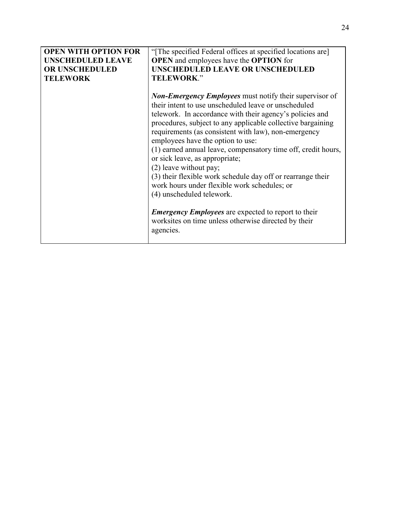| <b>OPEN WITH OPTION FOR</b> | "The specified Federal offices at specified locations are]     |
|-----------------------------|----------------------------------------------------------------|
| <b>UNSCHEDULED LEAVE</b>    | <b>OPEN</b> and employees have the <b>OPTION</b> for           |
| OR UNSCHEDULED              | <b>UNSCHEDULED LEAVE OR UNSCHEDULED</b>                        |
| <b>TELEWORK</b>             | <b>TELEWORK."</b>                                              |
|                             |                                                                |
|                             | <b>Non-Emergency Employees</b> must notify their supervisor of |
|                             | their intent to use unscheduled leave or unscheduled           |
|                             | telework. In accordance with their agency's policies and       |
|                             | procedures, subject to any applicable collective bargaining    |
|                             | requirements (as consistent with law), non-emergency           |
|                             | employees have the option to use:                              |
|                             | (1) earned annual leave, compensatory time off, credit hours,  |
|                             | or sick leave, as appropriate;                                 |
|                             | (2) leave without pay;                                         |
|                             |                                                                |
|                             | (3) their flexible work schedule day off or rearrange their    |
|                             | work hours under flexible work schedules; or                   |
|                             | (4) unscheduled telework.                                      |
|                             |                                                                |
|                             | <b>Emergency Employees</b> are expected to report to their     |
|                             | worksites on time unless otherwise directed by their           |
|                             | agencies.                                                      |
|                             |                                                                |
|                             |                                                                |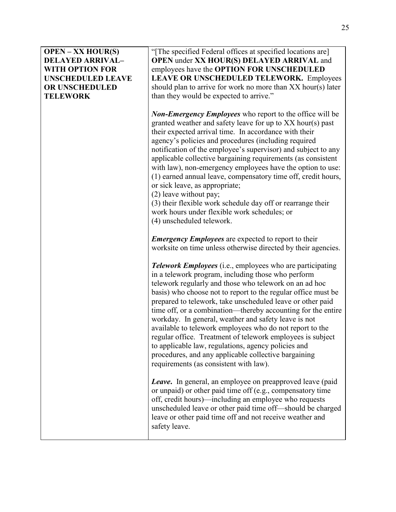#### **OPEN – XX HOUR(S) DELAYED ARRIVAL– WITH OPTION FOR UNSCHEDULED LEAVE OR UNSCHEDULED TELEWORK**

"[The specified Federal offices at specified locations are] **OPEN** under **XX HOUR(S) DELAYED ARRIVAL** and employees have the **OPTION FOR UNSCHEDULED LEAVE OR UNSCHEDULED TELEWORK.** Employees should plan to arrive for work no more than XX hour(s) later than they would be expected to arrive."

*Non-Emergency Employees* who report to the office will be granted weather and safety leave for up to XX hour(s) past their expected arrival time. In accordance with their agency's policies and procedures (including required notification of the employee's supervisor) and subject to any applicable collective bargaining requirements (as consistent with law), non-emergency employees have the option to use: (1) earned annual leave, compensatory time off, credit hours, or sick leave, as appropriate;

(2) leave without pay;

(3) their flexible work schedule day off or rearrange their work hours under flexible work schedules; or (4) unscheduled telework.

*Emergency Employees* are expected to report to their worksite on time unless otherwise directed by their agencies.

*Telework Employees* (i.e., employees who are participating in a telework program, including those who perform telework regularly and those who telework on an ad hoc basis) who choose not to report to the regular office must be prepared to telework, take unscheduled leave or other paid time off, or a combination—thereby accounting for the entire workday. In general, weather and safety leave is not available to telework employees who do not report to the regular office. Treatment of telework employees is subject to applicable law, regulations, agency policies and procedures, and any applicable collective bargaining requirements (as consistent with law).

*Leave***.** In general, an employee on preapproved leave (paid or unpaid) or other paid time off (e.g., compensatory time off, credit hours)—including an employee who requests unscheduled leave or other paid time off—should be charged leave or other paid time off and not receive weather and safety leave.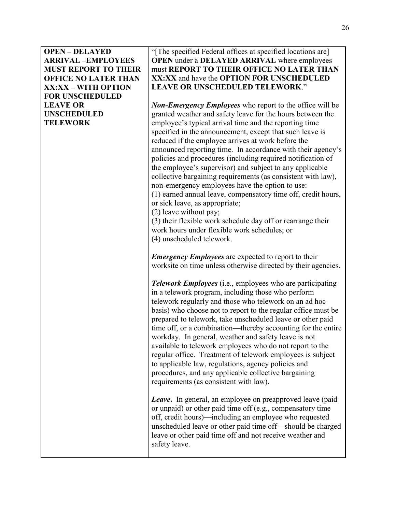**OPEN – DELAYED ARRIVAL –EMPLOYEES MUST REPORT TO THEIR OFFICE NO LATER THAN XX:XX – WITH OPTION FOR UNSCHEDULED LEAVE OR UNSCHEDULED TELEWORK** 

"[The specified Federal offices at specified locations are] **OPEN** under a **DELAYED ARRIVAL** where employees must **REPORT TO THEIR OFFICE NO LATER THAN XX:XX** and have the **OPTION FOR UNSCHEDULED LEAVE OR UNSCHEDULED TELEWORK**."

*Non-Emergency Employees* who report to the office will be granted weather and safety leave for the hours between the employee's typical arrival time and the reporting time specified in the announcement, except that such leave is reduced if the employee arrives at work before the announced reporting time. In accordance with their agency's policies and procedures (including required notification of the employee's supervisor) and subject to any applicable collective bargaining requirements (as consistent with law), non-emergency employees have the option to use: (1) earned annual leave, compensatory time off, credit hours, or sick leave, as appropriate;

(2) leave without pay;

(3) their flexible work schedule day off or rearrange their work hours under flexible work schedules; or (4) unscheduled telework.

*Emergency Employees* are expected to report to their worksite on time unless otherwise directed by their agencies.

*Telework Employees* (i.e., employees who are participating in a telework program, including those who perform telework regularly and those who telework on an ad hoc basis) who choose not to report to the regular office must be prepared to telework, take unscheduled leave or other paid time off, or a combination—thereby accounting for the entire workday. In general, weather and safety leave is not available to telework employees who do not report to the regular office. Treatment of telework employees is subject to applicable law, regulations, agency policies and procedures, and any applicable collective bargaining requirements (as consistent with law).

*Leave***.** In general, an employee on preapproved leave (paid or unpaid) or other paid time off (e.g., compensatory time off, credit hours)—including an employee who requested unscheduled leave or other paid time off—should be charged leave or other paid time off and not receive weather and safety leave.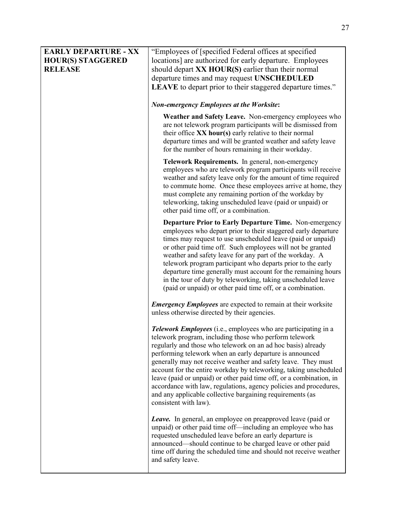| <b>EARLY DEPARTURE - XX</b><br><b>HOUR(S) STAGGERED</b><br><b>RELEASE</b> | "Employees of [specified Federal offices at specified<br>locations] are authorized for early departure. Employees<br>should depart XX HOUR(S) earlier than their normal<br>departure times and may request UNSCHEDULED<br>LEAVE to depart prior to their staggered departure times."                                                                                                                                                                                                                                                                                                                                                |
|---------------------------------------------------------------------------|-------------------------------------------------------------------------------------------------------------------------------------------------------------------------------------------------------------------------------------------------------------------------------------------------------------------------------------------------------------------------------------------------------------------------------------------------------------------------------------------------------------------------------------------------------------------------------------------------------------------------------------|
|                                                                           | <b>Non-emergency Employees at the Worksite:</b>                                                                                                                                                                                                                                                                                                                                                                                                                                                                                                                                                                                     |
|                                                                           | Weather and Safety Leave. Non-emergency employees who<br>are not telework program participants will be dismissed from<br>their office XX hour(s) early relative to their normal<br>departure times and will be granted weather and safety leave<br>for the number of hours remaining in their workday.                                                                                                                                                                                                                                                                                                                              |
|                                                                           | Telework Requirements. In general, non-emergency<br>employees who are telework program participants will receive<br>weather and safety leave only for the amount of time required<br>to commute home. Once these employees arrive at home, they<br>must complete any remaining portion of the workday by<br>teleworking, taking unscheduled leave (paid or unpaid) or<br>other paid time off, or a combination.                                                                                                                                                                                                                     |
|                                                                           | Departure Prior to Early Departure Time. Non-emergency<br>employees who depart prior to their staggered early departure<br>times may request to use unscheduled leave (paid or unpaid)<br>or other paid time off. Such employees will not be granted<br>weather and safety leave for any part of the workday. A<br>telework program participant who departs prior to the early<br>departure time generally must account for the remaining hours<br>in the tour of duty by teleworking, taking unscheduled leave<br>(paid or unpaid) or other paid time off, or a combination.                                                       |
|                                                                           | <b>Emergency Employees</b> are expected to remain at their worksite<br>unless otherwise directed by their agencies.                                                                                                                                                                                                                                                                                                                                                                                                                                                                                                                 |
|                                                                           | <b>Telework Employees</b> (i.e., employees who are participating in a<br>telework program, including those who perform telework<br>regularly and those who telework on an ad hoc basis) already<br>performing telework when an early departure is announced<br>generally may not receive weather and safety leave. They must<br>account for the entire workday by teleworking, taking unscheduled<br>leave (paid or unpaid) or other paid time off, or a combination, in<br>accordance with law, regulations, agency policies and procedures,<br>and any applicable collective bargaining requirements (as<br>consistent with law). |
|                                                                           | <b>Leave.</b> In general, an employee on preapproved leave (paid or<br>unpaid) or other paid time off—including an employee who has<br>requested unscheduled leave before an early departure is<br>announced—should continue to be charged leave or other paid<br>time off during the scheduled time and should not receive weather<br>and safety leave.                                                                                                                                                                                                                                                                            |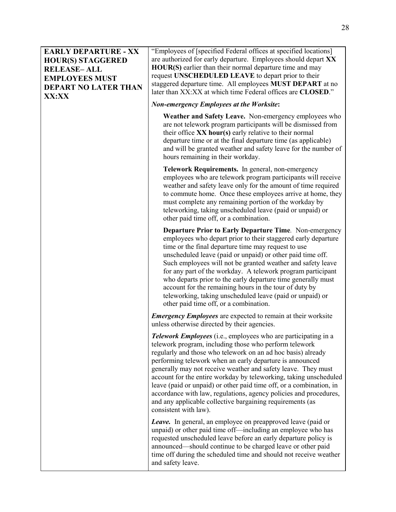#### **EARLY DEPARTURE - XX HOUR(S) STAGGERED RELEASE– ALL EMPLOYEES MUST DEPART NO LATER THAN XX:XX**

"Employees of [specified Federal offices at specified locations] are authorized for early departure. Employees should depart **XX HOUR(S)** earlier than their normal departure time and may request **UNSCHEDULED LEAVE** to depart prior to their staggered departure time. All employees **MUST DEPART** at no later than XX:XX at which time Federal offices are **CLOSED**."

#### *Non-emergency Employees at the Worksite***:**

**Weather and Safety Leave.** Non-emergency employees who are not telework program participants will be dismissed from their office **XX hour(s)** early relative to their normal departure time or at the final departure time (as applicable) and will be granted weather and safety leave for the number of hours remaining in their workday.

**Telework Requirements.** In general, non-emergency employees who are telework program participants will receive weather and safety leave only for the amount of time required to commute home. Once these employees arrive at home, they must complete any remaining portion of the workday by teleworking, taking unscheduled leave (paid or unpaid) or other paid time off, or a combination.

**Departure Prior to Early Departure Time***.* Non-emergency employees who depart prior to their staggered early departure time or the final departure time may request to use unscheduled leave (paid or unpaid) or other paid time off. Such employees will not be granted weather and safety leave for any part of the workday. A telework program participant who departs prior to the early departure time generally must account for the remaining hours in the tour of duty by teleworking, taking unscheduled leave (paid or unpaid) or other paid time off, or a combination.

*Emergency Employees* are expected to remain at their worksite unless otherwise directed by their agencies.

*Telework Employees* (i.e., employees who are participating in a telework program, including those who perform telework regularly and those who telework on an ad hoc basis) already performing telework when an early departure is announced generally may not receive weather and safety leave. They must account for the entire workday by teleworking, taking unscheduled leave (paid or unpaid) or other paid time off, or a combination, in accordance with law, regulations, agency policies and procedures, and any applicable collective bargaining requirements (as consistent with law).

*Leave.* In general, an employee on preapproved leave (paid or unpaid) or other paid time off—including an employee who has requested unscheduled leave before an early departure policy is announced—should continue to be charged leave or other paid time off during the scheduled time and should not receive weather and safety leave.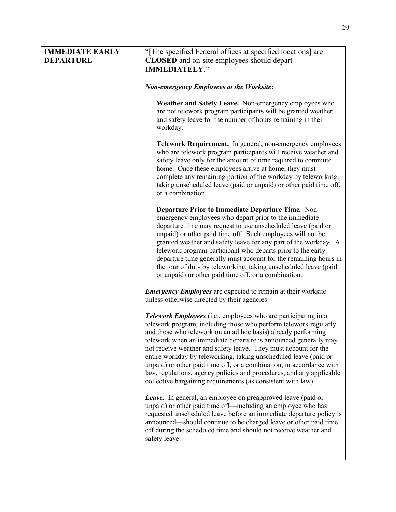| <b>IMMEDIATE EARLY</b><br><b>DEPARTURE</b> | "The specified Federal offices at specified locations] are<br><b>CLOSED</b> and on-site employees should depart<br><b>IMMEDIATELY."</b>                                                                                                                                                                                                                                                                                                                                                                                                                                                                                              |
|--------------------------------------------|--------------------------------------------------------------------------------------------------------------------------------------------------------------------------------------------------------------------------------------------------------------------------------------------------------------------------------------------------------------------------------------------------------------------------------------------------------------------------------------------------------------------------------------------------------------------------------------------------------------------------------------|
|                                            | <b>Non-emergency Employees at the Worksite:</b>                                                                                                                                                                                                                                                                                                                                                                                                                                                                                                                                                                                      |
|                                            | Weather and Safety Leave. Non-emergency employees who<br>are not telework program participants will be granted weather<br>and safety leave for the number of hours remaining in their<br>workday.                                                                                                                                                                                                                                                                                                                                                                                                                                    |
|                                            | Telework Requirement. In general, non-emergency employees<br>who are telework program participants will receive weather and<br>safety leave only for the amount of time required to commute<br>home. Once these employees arrive at home, they must<br>complete any remaining portion of the workday by teleworking,<br>taking unscheduled leave (paid or unpaid) or other paid time off,<br>or a combination.                                                                                                                                                                                                                       |
|                                            | Departure Prior to Immediate Departure Time. Non-<br>emergency employees who depart prior to the immediate<br>departure time may request to use unscheduled leave (paid or<br>unpaid) or other paid time off. Such employees will not be<br>granted weather and safety leave for any part of the workday. A<br>telework program participant who departs prior to the early<br>departure time generally must account for the remaining hours in<br>the tour of duty by teleworking, taking unscheduled leave (paid<br>or unpaid) or other paid time off, or a combination.                                                            |
|                                            | <b>Emergency Employees</b> are expected to remain at their worksite<br>unless otherwise directed by their agencies.                                                                                                                                                                                                                                                                                                                                                                                                                                                                                                                  |
|                                            | <b>Telework Employees</b> (i.e., employees who are participating in a<br>telework program, including those who perform telework regularly<br>and those who telework on an ad hoc basis) already performing<br>telework when an immediate departure is announced generally may<br>not receive weather and safety leave. They must account for the<br>entire workday by teleworking, taking unscheduled leave (paid or<br>unpaid) or other paid time off, or a combination, in accordance with<br>law, regulations, agency policies and procedures, and any applicable<br>collective bargaining requirements (as consistent with law). |
|                                            | Leave. In general, an employee on preapproved leave (paid or<br>unpaid) or other paid time off—including an employee who has<br>requested unscheduled leave before an immediate departure policy is<br>announced—should continue to be charged leave or other paid time<br>off during the scheduled time and should not receive weather and<br>safety leave.                                                                                                                                                                                                                                                                         |
|                                            |                                                                                                                                                                                                                                                                                                                                                                                                                                                                                                                                                                                                                                      |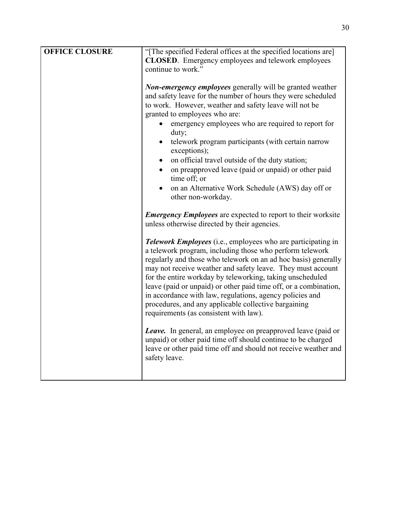| <b>OFFICE CLOSURE</b> | "The specified Federal offices at the specified locations are]                                                                                                                                                                                                                                                                                                                                                                                                                                                                                                                    |
|-----------------------|-----------------------------------------------------------------------------------------------------------------------------------------------------------------------------------------------------------------------------------------------------------------------------------------------------------------------------------------------------------------------------------------------------------------------------------------------------------------------------------------------------------------------------------------------------------------------------------|
|                       | <b>CLOSED</b> . Emergency employees and telework employees<br>continue to work."                                                                                                                                                                                                                                                                                                                                                                                                                                                                                                  |
|                       | <b>Non-emergency employees</b> generally will be granted weather<br>and safety leave for the number of hours they were scheduled<br>to work. However, weather and safety leave will not be<br>granted to employees who are:<br>emergency employees who are required to report for<br>duty;<br>telework program participants (with certain narrow<br>exceptions);<br>on official travel outside of the duty station;<br>$\bullet$<br>on preapproved leave (paid or unpaid) or other paid<br>time off; or<br>on an Alternative Work Schedule (AWS) day off or<br>other non-workday. |
|                       | <b>Emergency Employees</b> are expected to report to their worksite<br>unless otherwise directed by their agencies.                                                                                                                                                                                                                                                                                                                                                                                                                                                               |
|                       | <b>Telework Employees</b> (i.e., employees who are participating in<br>a telework program, including those who perform telework<br>regularly and those who telework on an ad hoc basis) generally<br>may not receive weather and safety leave. They must account<br>for the entire workday by teleworking, taking unscheduled<br>leave (paid or unpaid) or other paid time off, or a combination,<br>in accordance with law, regulations, agency policies and<br>procedures, and any applicable collective bargaining<br>requirements (as consistent with law).                   |
|                       | <b>Leave.</b> In general, an employee on preapproved leave (paid or<br>unpaid) or other paid time off should continue to be charged<br>leave or other paid time off and should not receive weather and<br>safety leave.                                                                                                                                                                                                                                                                                                                                                           |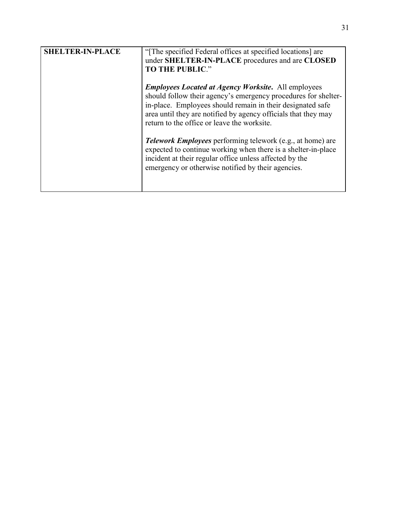| <b>SHELTER-IN-PLACE</b> | "The specified Federal offices at specified locations] are<br>under SHELTER-IN-PLACE procedures and are CLOSED<br><b>TO THE PUBLIC."</b>                                                                                                                                                                                                                                                                                                                                                                                                                           |
|-------------------------|--------------------------------------------------------------------------------------------------------------------------------------------------------------------------------------------------------------------------------------------------------------------------------------------------------------------------------------------------------------------------------------------------------------------------------------------------------------------------------------------------------------------------------------------------------------------|
|                         | <b>Employees Located at Agency Worksite. All employees</b><br>should follow their agency's emergency procedures for shelter-<br>in-place. Employees should remain in their designated safe<br>area until they are notified by agency officials that they may<br>return to the office or leave the worksite.<br><b>Telework Employees</b> performing telework (e.g., at home) are<br>expected to continue working when there is a shelter-in-place<br>incident at their regular office unless affected by the<br>emergency or otherwise notified by their agencies. |
|                         |                                                                                                                                                                                                                                                                                                                                                                                                                                                                                                                                                                    |